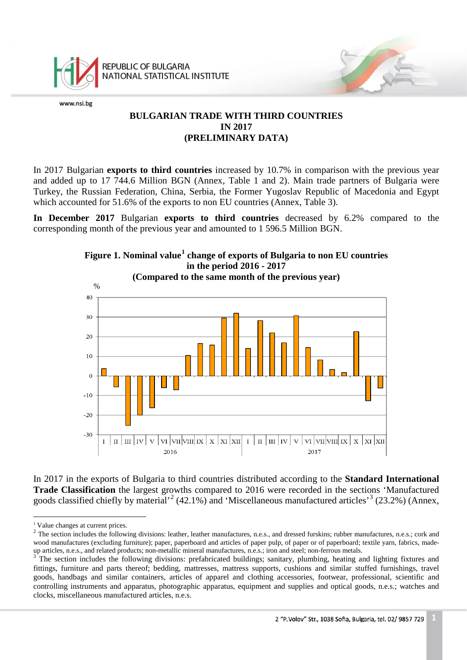

REPUBLIC OF BULGARIA NATIONAL STATISTICAL INSTITUTE

www.nsi.bg

# **BULGARIAN TRADE WITH THIRD COUNTRIES IN 2017 (PRELIMINARY DATA)**

In 2017 Bulgarian **exports to third countries** increased by 10.7% in comparison with the previous year and added up to 17 744.6 Million BGN (Annex, Table 1 and 2). Main trade partners of Bulgaria were Turkey, the Russian Federation, China, Serbia, the Former Yugoslav Republic of Macedonia and Egypt which accounted for 51.6% of the exports to non EU countries (Annex, Table 3).

**In December 2017** Bulgarian **exports to third countries** decreased by 6.2% compared to the corresponding month of the previous year and amounted to 1 596.5 Million BGN.



In 2017 in the exports of Bulgaria to third countries distributed according to the **Standard International Trade Classification** the largest growths compared to 2016 were recorded in the sections 'Manufactured goods classified chiefly by material'<sup>[2](#page-0-1)</sup> (42.1%) and 'Miscellaneous manufactured articles'<sup>[3](#page-0-2)</sup> (23.2%) (Annex,

i<br>İ <sup>1</sup> Value changes at current prices.

<span id="page-0-1"></span><span id="page-0-0"></span><sup>&</sup>lt;sup>2</sup> The section includes the following divisions: leather, leather manufactures, n.e.s., and dressed furskins; rubber manufactures, n.e.s.; cork and wood manufactures (excluding furniture); paper, paperboard and articles of paper pulp, of paper or of paperboard; textile yarn, fabrics, madeup articles, n.e.s., and related products; non-metallic mineral manufactures, n.e.s.; iron and steel; non-ferrous metals.<br><sup>3</sup> The section includes the following divisions: prefabricated buildings; sanitary, plumbing, heat

<span id="page-0-3"></span><span id="page-0-2"></span>fittings, furniture and parts thereof; bedding, mattresses, mattress supports, cushions and similar stuffed furnishings, travel goods, handbags and similar containers, articles of apparel and clothing accessories, footwear, professional, scientific and controlling instruments and apparatus, photographic apparatus, equipment and supplies and optical goods, n.e.s.; watches and clocks, miscellaneous manufactured articles, n.e.s.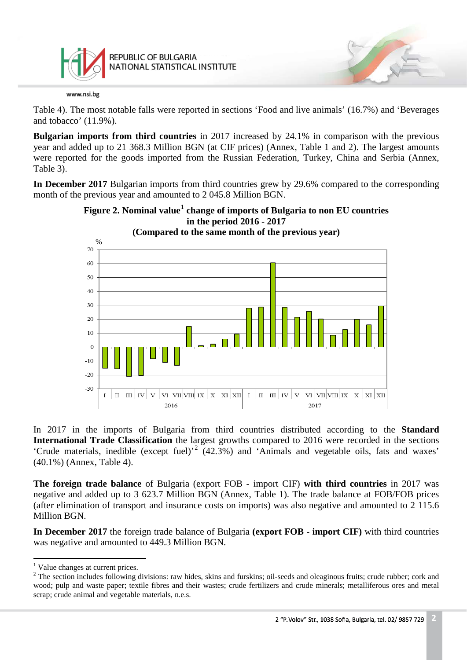

Table 4). The most notable falls were reported in sections 'Food and live animals' (16.7%) and 'Beverages and tobacco' (11.9%).

**Bulgarian imports from third countries** in 2017 increased by 24.1% in comparison with the previous year and added up to 21 368.3 Million BGN (at CIF prices) (Annex, Table 1 and 2). The largest amounts were reported for the goods imported from the Russian Federation, Turkey, China and Serbia (Annex, Table 3).

**In December 2017** Bulgarian imports from third countries grew by 29.6% compared to the corresponding month of the previous year and amounted to 2 045.8 Million BGN.



**Figure 2. Nominal value[1](#page-0-3) change of imports of Bulgaria to non EU countries**

In 2017 in the imports of Bulgaria from third countries distributed according to the **Standard International Trade Classification** the largest growths compared to 2016 were recorded in the sections 'Crude materials, inedible (except fuel)' [2](#page-1-0) (42.3%) and 'Animals and vegetable oils, fats and waxes' (40.1%) (Annex, Table 4).

**The foreign trade balance** of Bulgaria (export FOB - import CIF) **with third countries** in 2017 was negative and added up to 3 623.7 Million BGN (Annex, Table 1). The trade balance at FOB/FOB prices (after elimination of transport and insurance costs on imports) was also negative and amounted to 2 115.6 Million BGN.

**In December 2017** the foreign trade balance of Bulgaria **(export FOB - import CIF)** with third countries was negative and amounted to 449.3 Million BGN.

 $\frac{1}{1}$ <sup>1</sup> Value changes at current prices.

<span id="page-1-1"></span><span id="page-1-0"></span><sup>&</sup>lt;sup>2</sup> The section includes following divisions: raw hides, skins and furskins; oil-seeds and oleaginous fruits; crude rubber; cork and wood; pulp and waste paper; textile fibres and their wastes; crude fertilizers and crude minerals; metalliferous ores and metal scrap; crude animal and vegetable materials, n.e.s.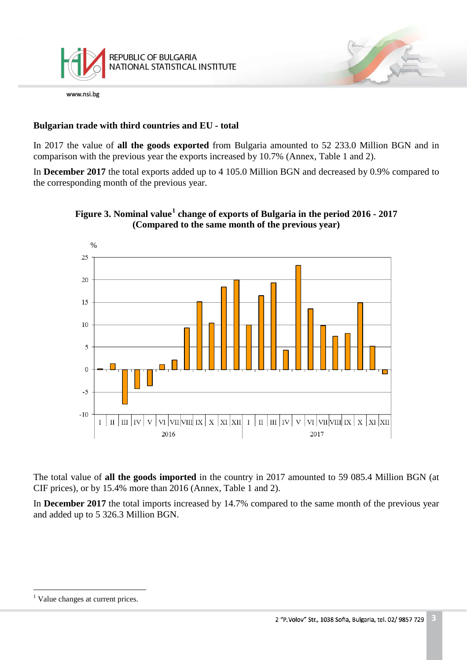

# **Bulgarian trade with third countries and EU - total**

In 2017 the value of **all the goods exported** from Bulgaria amounted to 52 233.0 Million BGN and in comparison with the previous year the exports increased by 10.7% (Annex, Table 1 and 2).

In **December 2017** the total exports added up to 4 105.0 Million BGN and decreased by 0.9% compared to the corresponding month of the previous year.



**Figure 3. Nominal value[1](#page-1-1) change of exports of Bulgaria in the period 2016 - 2017 (Compared to the same month of the previous year)**

The total value of **all the goods imported** in the country in 2017 amounted to 59 085.4 Million BGN (at CIF prices), or by 15.4% more than 2016 (Annex, Table 1 and 2).

In **December 2017** the total imports increased by 14.7% compared to the same month of the previous year and added up to 5 326.3 Million BGN.

<span id="page-2-0"></span> $\frac{1}{1}$ <sup>1</sup> Value changes at current prices.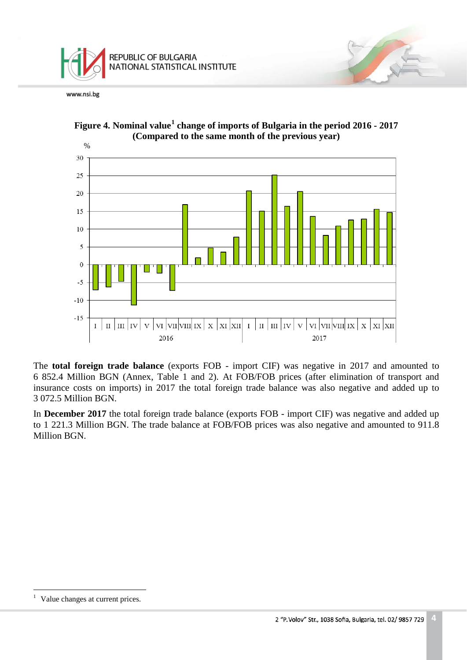



**Figure 4. Nominal value[1](#page-2-0) change of imports of Bulgaria in the period 2016 - 2017 (Compared to the same month of the previous year)**

The **total foreign trade balance** (exports FOB - import CIF) was negative in 2017 and amounted to 6 852.4 Million BGN (Annex, Table 1 and 2). At FOB/FOB prices (after elimination of transport and insurance costs on imports) in 2017 the total foreign trade balance was also negative and added up to 3 072.5 Million BGN.

In **December 2017** the total foreign trade balance (exports FOB - import CIF) was negative and added up to 1 221.3 Million BGN. The trade balance at FOB/FOB prices was also negative and amounted to 911.8 Million BGN.

 $\,1$ Value changes at current prices.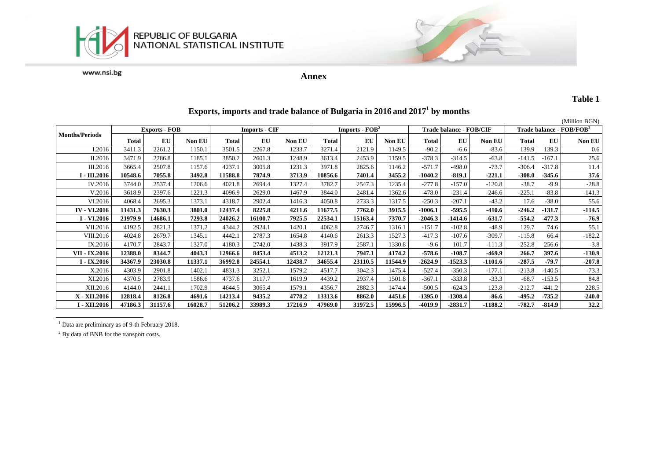



**Annex**

### **Table 1**

|                       |                      |         |               |                      |         |         |                            |         |               |                                |           |          |                                      |          | (Million BGN) |
|-----------------------|----------------------|---------|---------------|----------------------|---------|---------|----------------------------|---------|---------------|--------------------------------|-----------|----------|--------------------------------------|----------|---------------|
|                       | <b>Exports - FOB</b> |         |               | <b>Imports - CIF</b> |         |         | Imports - FOB <sup>2</sup> |         |               | <b>Trade balance - FOB/CIF</b> |           |          | Trade balance - FOB/FOB <sup>2</sup> |          |               |
| <b>Months/Periods</b> | Total                | EU      | <b>Non EU</b> | <b>Total</b>         | EU      | Non EU  | Total                      | EU      | <b>Non EU</b> | Total                          | EU        | Non EU   | <b>Total</b>                         | EU       | <b>Non EU</b> |
| I.2016                | 3411.3               | 2261.2  | 1150.1        | 3501.5               | 2267.8  | 1233.7  | 3271.4                     | 2121.9  | 1149.5        | $-90.2$                        | $-6.6$    | $-83.6$  | 139.9                                | 139.3    | 0.6           |
| II.2016               | 3471.9               | 2286.8  | 1185.1        | 3850.2               | 2601.3  | 1248.9  | 3613.4                     | 2453.9  | 1159.5        | $-378.3$                       | $-314.5$  | $-63.8$  | $-141.5$                             | $-167.1$ | 25.6          |
| III.2016              | 3665.4               | 2507.8  | 1157.6        | 4237.1               | 3005.8  | 1231.3  | 3971.8                     | 2825.6  | 146.2         | $-571.7$                       | $-498.0$  | $-73.7$  | $-306.4$                             | $-317.8$ | 11.4          |
| I - III.2016          | 10548.6              | 7055.8  | 3492.8        | 11588.8              | 7874.9  | 3713.9  | 10856.6                    | 7401.4  | 3455.2        | $-1040.2$                      | $-819.1$  | $-221.1$ | $-308.0$                             | $-345.6$ | 37.6          |
| IV.2016               | 3744.0               | 2537.4  | 1206.6        | 4021.8               | 2694.4  | 1327.4  | 3782.7                     | 2547.3  | 1235.4        | $-277.8$                       | $-157.0$  | $-120.8$ | $-38.7$                              | $-9.9$   | $-28.8$       |
| V.2016                | 3618.9               | 2397.6  | 1221.3        | 4096.9               | 2629.0  | 1467.9  | 3844.0                     | 2481.4  | 1362.6        | $-478.0$                       | $-231.4$  | $-246.6$ | $-225.1$                             | $-83.8$  | $-141.3$      |
| VI.2016               | 4068.4               | 2695.3  | 1373.1        | 4318.7               | 2902.4  | 1416.3  | 4050.8                     | 2733.3  | 1317.5        | $-250.3$                       | $-207.1$  | $-43.2$  | 17.6                                 | $-38.0$  | 55.6          |
| <b>IV - VI.2016</b>   | 11431.3              | 7630.3  | 3801.0        | 12437.4              | 8225.8  | 4211.6  | 11677.5                    | 7762.0  | 3915.5        | $-1006.1$                      | $-595.5$  | $-410.6$ | $-246.2$                             | $-131.7$ | $-114.5$      |
| I - VI.2016           | 21979.9              | 14686.1 | 7293.8        | 24026.2              | 16100.7 | 7925.5  | 22534.1                    | 15163.4 | 7370.7        | $-2046.3$                      | $-1414.6$ | $-631.7$ | $-554.2$                             | $-477.3$ | $-76.9$       |
| VII.2016              | 4192.5               | 2821.3  | 1371.2        | 4344.2               | 2924.1  | 1420.1  | 4062.8                     | 2746.7  | 1316.1        | $-151.7$                       | $-102.8$  | $-48.9$  | 129.7                                | 74.6     | 55.1          |
| VIII.2016             | 4024.8               | 2679.7  | 1345.1        | 4442.1               | 2787.3  | 1654.8  | 4140.6                     | 2613.3  | 1527.3        | $-417.3$                       | $-107.6$  | $-309.7$ | $-115.8$                             | 66.4     | $-182.2$      |
| IX.2016               | 4170.7               | 2843.7  | 1327.0        | 4180.3               | 2742.0  | 1438.3  | 3917.9                     | 2587.1  | 1330.8        | $-9.6$                         | 101.7     | $-111.3$ | 252.8                                | 256.6    | $-3.8$        |
| VII - IX.2016         | 12388.0              | 8344.7  | 4043.3        | 12966.6              | 8453.4  | 4513.2  | 12121.3                    | 7947.1  | 4174.2        | $-578.6$                       | $-108.7$  | -469.9   | 266.7                                | 397.6    | $-130.9$      |
| I - IX.2016           | 34367.9              | 23030.8 | 11337.1       | 36992.8              | 24554.1 | 12438.7 | 34655.4                    | 23110.5 | 11544.9       | $-2624.9$                      | $-1523.3$ | -1101.6  | $-287.5$                             | $-79.7$  | $-207.8$      |
| X.2016                | 4303.9               | 2901.8  | 1402.1        | 4831.3               | 3252.1  | 1579.2  | 4517.7                     | 3042.3  | 1475.4        | $-527.4$                       | $-350.3$  | $-177.1$ | $-213.8$                             | $-140.5$ | $-73.3$       |
| XI.2016               | 4370.5               | 2783.9  | 1586.6        | 4737.6               | 3117.7  | 1619.9  | 4439.2                     | 2937.4  | 1501.8        | $-367.1$                       | $-333.8$  | $-33.3$  | $-68.7$                              | $-153.5$ | 84.8          |
| XII.2016              | 4144.0               | 2441    | 1702.9        | 4644.5               | 3065.4  | 1579.1  | 4356.7                     | 2882.3  | 1474.4        | $-500.5$                       | $-624.3$  | 123.8    | $-212.7$                             | $-441.2$ | 228.5         |
| X - XII.2016          | 12818.4              | 8126.8  | 4691.6        | 14213.4              | 9435.2  | 4778.2  | 13313.6                    | 8862.0  | 4451.6        | $-1395.0$                      | $-1308.4$ | $-86.6$  | $-495.2$                             | $-735.2$ | 240.0         |
| I - XII.2016          | 47186.3              | 31157.6 | 16028.7       | 51206.2              | 33989.3 | 17216.9 | 47969.0                    | 31972.5 | 15996.5       | $-4019.9$                      | $-2831.7$ | -1188.2  | -782.7                               | $-814.9$ | 32.2          |

# **Exports, imports and trade balance of Bulgaria in 2016 and 2017<sup>1</sup> by months**

<sup>1</sup> Data are preliminary as of 9-th February 2018.

<sup>2</sup> By data of BNB for the transport costs.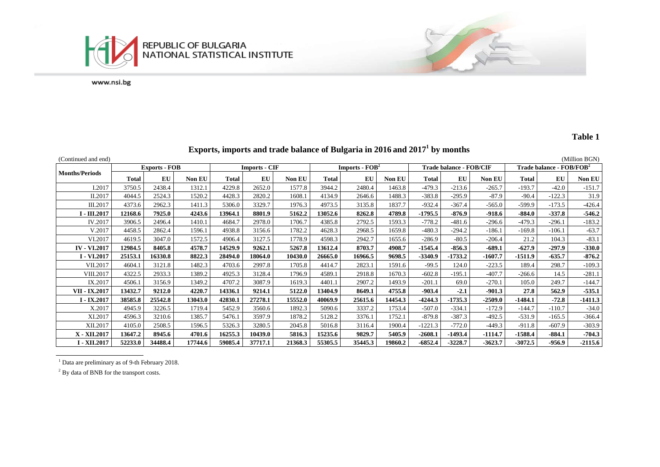

#### **Table 1**

江安

#### **Exports, imports and trade balance of Bulgaria in 2016 and 2017<sup>1</sup> by months**

(Continued and end) (Million BGN) **Months/Periods**<br> **Exports - FOB Imports - CIF Imports - Imports - FOB<sup>2</sup> <b>Indebalance - FOB/CIF Trade balance - FOB/FOB**<sup>2</sup> **Total EU Non EU Total EU Non EU Total EU Non EU Total EU Non EU Total EU Non EU**  I.2017 3750.5 2438.4 1312.1 4229.8 2652.0 1577.8 3944.2 2480.4 1463.8 -479.3 -213.6 -265.7 -193.7 -42.0 -151.7 II.2017 4044.5 2524.3 1520.2 4428.3 2820.2 1608.1 4134.9 2646.6 1488.3 -383.8 -295.9 -87.9 -90.4 -122.3 31.9 III.2017 4373.6 2962.3 1411.3 5306.0 3329.7 1976.3 4973.5 3135.8 1837.7 -932.4 -367.4 -565.0 -599.9 -173.5 -426.4 I - III.2017 | 12168.6 | 7925.0 | 4243.6 | 4243.6 | 13964.1 | 8801.9 | 5162.2 | 13052.6 | 8262.8 | 4789.8 | -1795.5 | -876.9 | -918.6 | -884.0 | -337.8 | -546.2 IV.2017 3906.5 2496.4 1410.1 4684.7 2978.0 1706.7 4385.8 2792.5 1593.3 -778.2 -481.6 -296.6 -479.3 -296.1 -183.2 V.2017 4458.5 2862.4 1596.1 4938.8 3156.6 1782.2 4628.3 2968.5 1659.8 -480.3 -294.2 -186.1 -169.8 -106.1 -63.7 VI.2017 4619.5 3047.0 1572.5 4906.4 3127.5 1778.9 4598.3 2942.7 1655.6 -286.9 -80.5 -206.4 21.2 104.3 -83.1 IV - VI.2017 | 12984.5 | 8405.8 | 4578.7 | 14529.9 | 9262.1 | 5267.8 | 13612.4 | 8703.7 | 4908.7 | -1545.4 | -856.3 | -689.1 | -627.9 | -297.9 | -330.0 I - VI.2017 | 25153.1 | 16330.8 | 8822.3 | 28494.0 | 18064.0 | 10430.0 | 26665.0 | 16966.5 | 9698.5 | -3340.9 | -1733.2 | -1607.7 | -1511.9 | -635.7 | -876.2 VII.2017 4604.1 3121.8 1482.3 4703.6 2997.8 1705.8 4414.7 2823.1 1591.6 -99.5 124.0 -223.5 189.4 298.7 -109.3 VIII.2017 4322.5 2933.3 1389.2 4925.3 3128.4 1796.9 4589.1 2918.8 1670.3 -602.8 -195.1 -407.7 -266.6 14.5 -281.1 IX.2017 4506.1 3156.9 1349.2 4707.2 3087.9 1619.3 4401.1 2907.2 1493.9 -201.1 69.0 -270.1 105.0 249.7 -144.7 VII - IX.2017 | 13432.7 | 9212.0 | 4220.7 | 14336.1 | 9214.1 | 5122.0 | 13404.9 | 8649.1 | 4755.8 | -903.4 | -2.1 | -901.3 | 27.8 | 562.9 | -535.1 I - IX.2017 | 38585.8 | 25542.8 | 13043.0 | 42830.1 | 27278.1 | 15552.0 | 40069.9 | 25615.6 | 14454.3 | -4244.3 | -1735.3 | -2509.0 | -1484.1 | -72.8 | -1411.3 134.017| 4945.9| 3226.5| 1719.4| 5452.9| 3560.6| 1892.3| 5090.6| 3337.2| 1753.4| -507.0| -334.1| -172.9| -144.7| -110.7| -34.0 XI.2017 4596.3 3210.6 1385.7 5476.1 3597.9 1878.2 5128.2 3376.1 1752.1 -879.8 -387.3 -492.5 -531.9 -165.5 -366.4 XII.2017 4105.0 2508.5 1596.5 5326.3 3280.5 2045.8 5016.8 3116.4 1900.4 -1221.3 -772.0 -449.3 -911.8 -607.9 -303.9 X - XII.2017 | 13647.2 | 8945.6 | 4701.6 | 16255.3 | 10439.0 | 5816.3 | 15235.6 | 9829.7 | 5405.9 | -2608.1 | -1493.4 | -1114.7 | -1588.4 | -884.1 | -704.3 I - XII.2017 | 52233.0 | 34488.4 | 17744.6 | 59085.4 | 37717.1 | 21368.3 | 55305.5 | 35445.3 | 19860.2 | -6852.4 | -3228.7 | -3623.7 | -3072.5 | -956.9 | -2115.6

Data are preliminary as of 9-th February 2018.

<sup>2</sup> By data of BNB for the transport costs.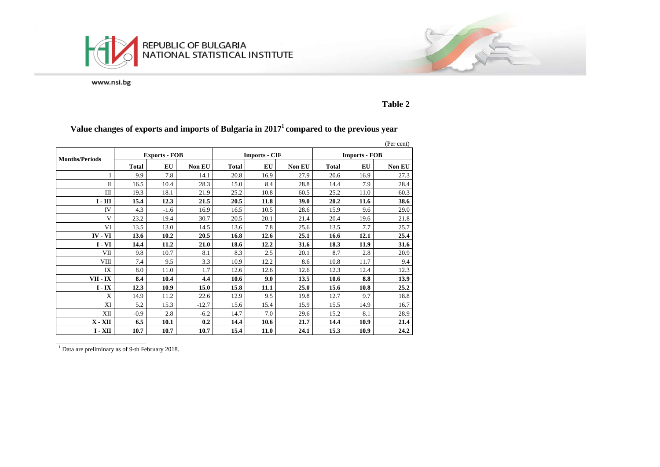



**Table 2**

# **Value changes of exports and imports of Bulgaria in 2017<sup>1</sup> compared to the previous year**

|                       |              |                      |         |              |                      |               |              |                      | (Per cent) |  |  |
|-----------------------|--------------|----------------------|---------|--------------|----------------------|---------------|--------------|----------------------|------------|--|--|
| <b>Months/Periods</b> |              | <b>Exports - FOB</b> |         |              | <b>Imports - CIF</b> |               |              | <b>Imports - FOB</b> |            |  |  |
|                       | <b>Total</b> | <b>EU</b>            | Non EU  | <b>Total</b> | <b>EU</b>            | <b>Non EU</b> | <b>Total</b> | EU                   | Non EU     |  |  |
| T                     | 9.9          | 7.8                  | 14.1    | 20.8         | 16.9                 | 27.9          | 20.6         | 16.9                 | 27.3       |  |  |
| $\mathbf{I}$          | 16.5         | 10.4                 | 28.3    | 15.0         | 8.4                  | 28.8          | 14.4         | 7.9                  | 28.4       |  |  |
| Ш                     | 19.3         | 18.1                 | 21.9    | 25.2         | 10.8                 | 60.5          | 25.2         | 11.0                 | 60.3       |  |  |
| $I - III$             | 15.4         | 12.3                 | 21.5    | 20.5         | 11.8                 | 39.0          | 20.2         | 11.6                 | 38.6       |  |  |
| IV                    | 4.3          | $-1.6$               | 16.9    | 16.5         | 10.5                 | 28.6          | 15.9         | 9.6                  | 29.0       |  |  |
| V                     | 23.2         | 19.4                 | 30.7    | 20.5         | 20.1                 | 21.4          | 20.4         | 19.6                 | 21.8       |  |  |
| VI                    | 13.5         | 13.0                 | 14.5    | 13.6         | 7.8                  | 25.6          | 13.5         | 7.7                  | 25.7       |  |  |
| $IV - VI$             | 13.6         | 10.2                 | 20.5    | 16.8         | 12.6                 | 25.1          | 16.6         | 12.1                 | 25.4       |  |  |
| $I - VI$              | 14.4         | 11.2                 | 21.0    | 18.6         | 12.2                 | 31.6          | 18.3         | 11.9                 | 31.6       |  |  |
| VII                   | 9.8          | 10.7                 | 8.1     | 8.3          | 2.5                  | 20.1          | 8.7          | 2.8                  | 20.9       |  |  |
| <b>VIII</b>           | 7.4          | 9.5                  | 3.3     | 10.9         | 12.2                 | 8.6           | 10.8         | 11.7                 | 9.4        |  |  |
| IX                    | 8.0          | 11.0                 | 1.7     | 12.6         | 12.6                 | 12.6          | 12.3         | 12.4                 | 12.3       |  |  |
| VII - IX              | 8.4          | 10.4                 | 4.4     | 10.6         | 9.0                  | 13.5          | 10.6         | 8.8                  | 13.9       |  |  |
| $I - IX$              | 12.3         | 10.9                 | 15.0    | 15.8         | 11.1                 | 25.0          | 15.6         | 10.8                 | 25.2       |  |  |
| X                     | 14.9         | 11.2                 | 22.6    | 12.9         | 9.5                  | 19.8          | 12.7         | 9.7                  | 18.8       |  |  |
| XI                    | 5.2          | 15.3                 | $-12.7$ | 15.6         | 15.4                 | 15.9          | 15.5         | 14.9                 | 16.7       |  |  |
| XII                   | $-0.9$       | 2.8                  | $-6.2$  | 14.7         | 7.0                  | 29.6          | 15.2         | 8.1                  | 28.9       |  |  |
| $X - XII$             | 6.5          | 10.1                 | 0.2     | 14.4         | 10.6                 | 21.7          | 14.4         | 10.9                 | 21.4       |  |  |
| $I - XII$             | 10.7         | 10.7                 | 10.7    | 15.4         | 11.0                 | 24.1          | 15.3         | 10.9                 | 24.2       |  |  |

 $\frac{1}{1}$  Data are preliminary as of 9-th February 2018.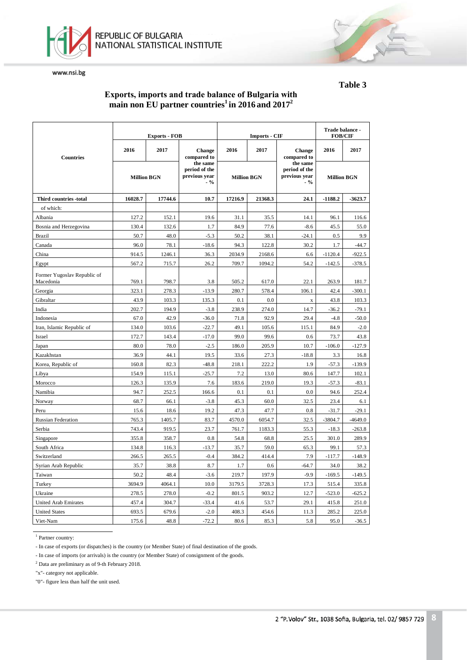



### **Еxports, imports and trade balance of Bulgaria with main non EU partner countries1 in 2016 and 2017<sup>2</sup>**

|                                          |                    | <b>Exports - FOB</b> |                                                      |                    | <b>Imports - CIF</b> | Trade balance -<br><b>FOB/CIF</b>                   |                    |           |
|------------------------------------------|--------------------|----------------------|------------------------------------------------------|--------------------|----------------------|-----------------------------------------------------|--------------------|-----------|
| <b>Countries</b>                         | 2016               | 2017                 | <b>Change</b><br>compared to                         | 2016               | 2017                 | <b>Change</b><br>compared to                        | 2016               | 2017      |
|                                          | <b>Million BGN</b> |                      | the same<br>period of the<br>previous year<br>$-9/6$ | <b>Million BGN</b> |                      | the same<br>period of the<br>previous year<br>$-$ % | <b>Million BGN</b> |           |
| Third countries -total                   | 16028.7            | 17744.6              | 10.7                                                 | 17216.9            | 21368.3              | 24.1                                                | $-1188.2$          | $-3623.7$ |
| of which:                                |                    |                      |                                                      |                    |                      |                                                     |                    |           |
| Albania                                  | 127.2              | 152.1                | 19.6                                                 | 31.1               | 35.5                 | 14.1                                                | 96.1               | 116.6     |
| Bosnia and Herzegovina                   | 130.4              | 132.6                | 1.7                                                  | 84.9               | 77.6                 | $-8.6$                                              | 45.5               | 55.0      |
| <b>Brazil</b>                            | 50.7               | 48.0                 | $-5.3$                                               | 50.2               | 38.1                 | $-24.1$                                             | 0.5                | 9.9       |
| Canada                                   | 96.0               | 78.1                 | $-18.6$                                              | 94.3               | 122.8                | 30.2                                                | 1.7                | $-44.7$   |
| China                                    | 914.5              | 1246.1               | 36.3                                                 | 2034.9             | 2168.6               | 6.6                                                 | $-1120.4$          | $-922.5$  |
| Egypt                                    | 567.2              | 715.7                | 26.2                                                 | 709.7              | 1094.2               | 54.2                                                | $-142.5$           | $-378.5$  |
| Former Yugoslav Republic of<br>Macedonia | 769.1              | 798.7                | 3.8                                                  | 505.2              | 617.0                | 22.1                                                | 263.9              | 181.7     |
| Georgia                                  | 323.1              | 278.3                | $-13.9$                                              | 280.7              | 578.4                | 106.1                                               | 42.4               | $-300.1$  |
| Gibraltar                                | 43.9               | 103.3                | 135.3                                                | 0.1                | 0.0                  | $\mathbf X$                                         | 43.8               | 103.3     |
| India                                    | 202.7              | 194.9                | $-3.8$                                               | 238.9              | 274.0                | 14.7                                                | $-36.2$            | $-79.1$   |
| Indonesia                                | 67.0               | 42.9                 | $-36.0$                                              | 71.8               | 92.9                 | 29.4                                                | $-4.8$             | $-50.0$   |
| Iran, Islamic Republic of                | 134.0              | 103.6                | $-22.7$                                              | 49.1               | 105.6                | 115.1                                               | 84.9               | $-2.0$    |
| Israel                                   | 172.7              | 143.4                | $-17.0$                                              | 99.0               | 99.6                 | 0.6                                                 | 73.7               | 43.8      |
| Japan                                    | 80.0               | 78.0                 | $-2.5$                                               | 186.0              | 205.9                | 10.7                                                | $-106.0$           | $-127.9$  |
| Kazakhstan                               | 36.9               | 44.1                 | 19.5                                                 | 33.6               | 27.3                 | $-18.8$                                             | 3.3                | 16.8      |
| Korea, Republic of                       | 160.8              | 82.3                 | $-48.8$                                              | 218.1              | 222.2                | 1.9                                                 | $-57.3$            | $-139.9$  |
| Libya                                    | 154.9              | 115.1                | $-25.7$                                              | 7.2                | 13.0                 | 80.6                                                | 147.7              | 102.1     |
| Morocco                                  | 126.3              | 135.9                | 7.6                                                  | 183.6              | 219.0                | 19.3                                                | $-57.3$            | $-83.1$   |
| Namibia                                  | 94.7               | 252.5                | 166.6                                                | 0.1                | 0.1                  | 0.0                                                 | 94.6               | 252.4     |
| Norway                                   | 68.7               | 66.1                 | $-3.8$                                               | 45.3               | 60.0                 | 32.5                                                | 23.4               | 6.1       |
| Peru                                     | 15.6               | 18.6                 | 19.2                                                 | 47.3               | 47.7                 | 0.8                                                 | $-31.7$            | $-29.1$   |
| <b>Russian Federation</b>                | 765.3              | 1405.7               | 83.7                                                 | 4570.0             | 6054.7               | 32.5                                                | $-3804.7$          | $-4649.0$ |
| Serbia                                   | 743.4              | 919.5                | 23.7                                                 | 761.7              | 1183.3               | 55.3                                                | $-18.3$            | $-263.8$  |
| Singapore                                | 355.8              | 358.7                | 0.8                                                  | 54.8               | 68.8                 | 25.5                                                | 301.0              | 289.9     |
| South Africa                             | 134.8              | 116.3                | $-13.7$                                              | 35.7               | 59.0                 | 65.3                                                | 99.1               | 57.3      |
| Switzerland                              | 266.5              | 265.5                | $-0.4$                                               | 384.2              | 414.4                | 7.9                                                 | $-117.7$           | $-148.9$  |
| Syrian Arab Republic                     | 35.7               | 38.8                 | 8.7                                                  | 1.7                | 0.6                  | $-64.7$                                             | 34.0               | 38.2      |
| Taiwan                                   | 50.2               | 48.4                 | $-3.6$                                               | 219.7              | 197.9                | $-9.9$                                              | $-169.5$           | $-149.5$  |
| Turkey                                   | 3694.9             | 4064.1               | 10.0                                                 | 3179.5             | 3728.3               | 17.3                                                | 515.4              | 335.8     |
| Ukraine                                  | 278.5              | 278.0                | $-0.2$                                               | 801.5              | 903.2                | 12.7                                                | $-523.0$           | $-625.2$  |
| <b>United Arab Emirates</b>              | 457.4              | 304.7                | $-33.4$                                              | 41.6               | 53.7                 | 29.1                                                | 415.8              | 251.0     |
| <b>United States</b>                     | 693.5              | 679.6                | $-2.0$                                               | 408.3              | 454.6                | 11.3                                                | 285.2              | 225.0     |
| Viet-Nam                                 | 175.6              | 48.8                 | $-72.2$                                              | 80.6               | 85.3                 | 5.8                                                 | 95.0               | $-36.5$   |

<sup>1</sup> Partner country:

- In case of exports (or dispatches) is the country (or Member State) of final destination of the goods.

- In case of imports (or arrivals) is the country (or Member State) of consignment of the goods.

<sup>2</sup> Data are preliminary as of 9-th February 2018.

"x"- category not applicable.

"0"- figure less than half the unit used.